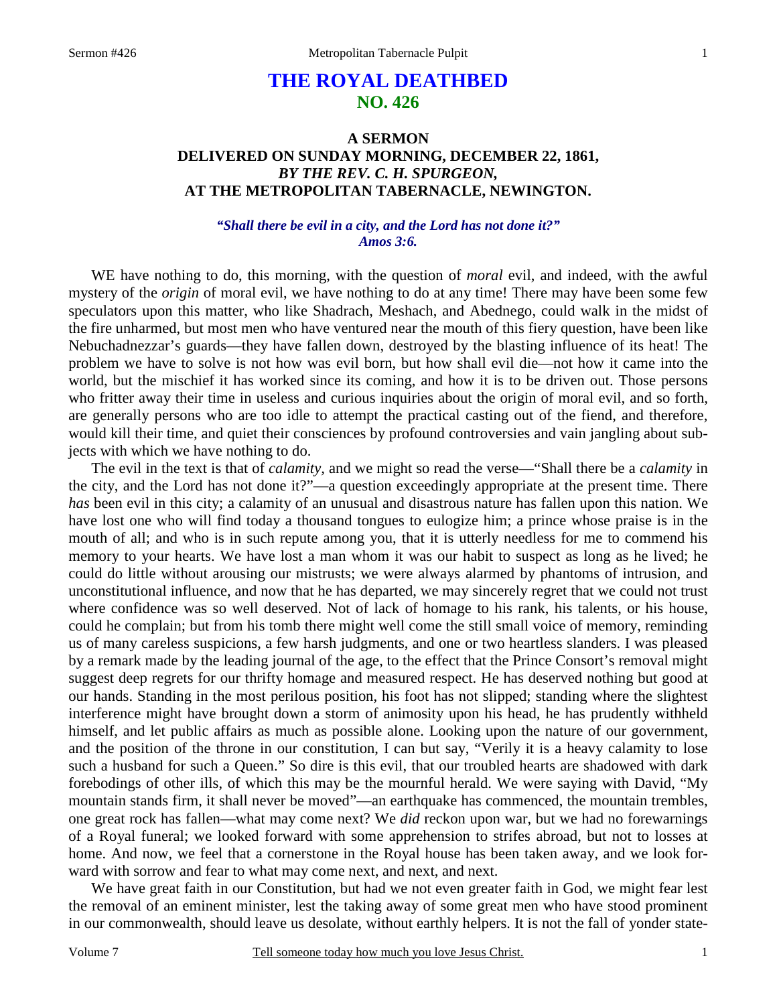# **THE ROYAL DEATHBED NO. 426**

## **A SERMON DELIVERED ON SUNDAY MORNING, DECEMBER 22, 1861,**  *BY THE REV. C. H. SPURGEON,*  **AT THE METROPOLITAN TABERNACLE, NEWINGTON.**

## *"Shall there be evil in a city, and the Lord has not done it?" Amos 3:6.*

WE have nothing to do, this morning, with the question of *moral* evil, and indeed, with the awful mystery of the *origin* of moral evil, we have nothing to do at any time! There may have been some few speculators upon this matter, who like Shadrach, Meshach, and Abednego, could walk in the midst of the fire unharmed, but most men who have ventured near the mouth of this fiery question, have been like Nebuchadnezzar's guards—they have fallen down, destroyed by the blasting influence of its heat! The problem we have to solve is not how was evil born, but how shall evil die—not how it came into the world, but the mischief it has worked since its coming, and how it is to be driven out. Those persons who fritter away their time in useless and curious inquiries about the origin of moral evil, and so forth, are generally persons who are too idle to attempt the practical casting out of the fiend, and therefore, would kill their time, and quiet their consciences by profound controversies and vain jangling about subjects with which we have nothing to do.

The evil in the text is that of *calamity,* and we might so read the verse—"Shall there be a *calamity* in the city, and the Lord has not done it?"—a question exceedingly appropriate at the present time. There *has* been evil in this city; a calamity of an unusual and disastrous nature has fallen upon this nation. We have lost one who will find today a thousand tongues to eulogize him; a prince whose praise is in the mouth of all; and who is in such repute among you, that it is utterly needless for me to commend his memory to your hearts. We have lost a man whom it was our habit to suspect as long as he lived; he could do little without arousing our mistrusts; we were always alarmed by phantoms of intrusion, and unconstitutional influence, and now that he has departed, we may sincerely regret that we could not trust where confidence was so well deserved. Not of lack of homage to his rank, his talents, or his house, could he complain; but from his tomb there might well come the still small voice of memory, reminding us of many careless suspicions, a few harsh judgments, and one or two heartless slanders. I was pleased by a remark made by the leading journal of the age, to the effect that the Prince Consort's removal might suggest deep regrets for our thrifty homage and measured respect. He has deserved nothing but good at our hands. Standing in the most perilous position, his foot has not slipped; standing where the slightest interference might have brought down a storm of animosity upon his head, he has prudently withheld himself, and let public affairs as much as possible alone. Looking upon the nature of our government, and the position of the throne in our constitution, I can but say, "Verily it is a heavy calamity to lose such a husband for such a Queen." So dire is this evil, that our troubled hearts are shadowed with dark forebodings of other ills, of which this may be the mournful herald. We were saying with David, "My mountain stands firm, it shall never be moved"—an earthquake has commenced, the mountain trembles, one great rock has fallen—what may come next? We *did* reckon upon war, but we had no forewarnings of a Royal funeral; we looked forward with some apprehension to strifes abroad, but not to losses at home. And now, we feel that a cornerstone in the Royal house has been taken away, and we look forward with sorrow and fear to what may come next, and next, and next.

We have great faith in our Constitution, but had we not even greater faith in God, we might fear lest the removal of an eminent minister, lest the taking away of some great men who have stood prominent in our commonwealth, should leave us desolate, without earthly helpers. It is not the fall of yonder state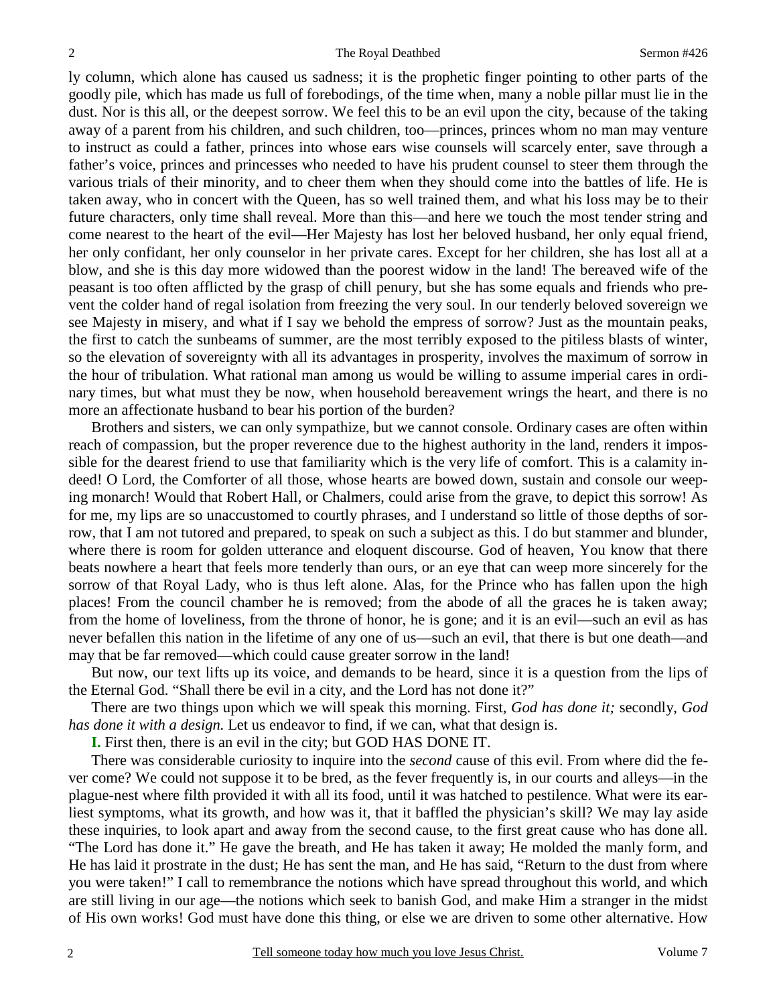ly column, which alone has caused us sadness; it is the prophetic finger pointing to other parts of the goodly pile, which has made us full of forebodings, of the time when, many a noble pillar must lie in the dust. Nor is this all, or the deepest sorrow. We feel this to be an evil upon the city, because of the taking away of a parent from his children, and such children, too—princes, princes whom no man may venture to instruct as could a father, princes into whose ears wise counsels will scarcely enter, save through a father's voice, princes and princesses who needed to have his prudent counsel to steer them through the various trials of their minority, and to cheer them when they should come into the battles of life. He is taken away, who in concert with the Queen, has so well trained them, and what his loss may be to their future characters, only time shall reveal. More than this—and here we touch the most tender string and come nearest to the heart of the evil—Her Majesty has lost her beloved husband, her only equal friend, her only confidant, her only counselor in her private cares. Except for her children, she has lost all at a blow, and she is this day more widowed than the poorest widow in the land! The bereaved wife of the peasant is too often afflicted by the grasp of chill penury, but she has some equals and friends who prevent the colder hand of regal isolation from freezing the very soul. In our tenderly beloved sovereign we see Majesty in misery, and what if I say we behold the empress of sorrow? Just as the mountain peaks, the first to catch the sunbeams of summer, are the most terribly exposed to the pitiless blasts of winter, so the elevation of sovereignty with all its advantages in prosperity, involves the maximum of sorrow in the hour of tribulation. What rational man among us would be willing to assume imperial cares in ordinary times, but what must they be now, when household bereavement wrings the heart, and there is no more an affectionate husband to bear his portion of the burden?

Brothers and sisters, we can only sympathize, but we cannot console. Ordinary cases are often within reach of compassion, but the proper reverence due to the highest authority in the land, renders it impossible for the dearest friend to use that familiarity which is the very life of comfort. This is a calamity indeed! O Lord, the Comforter of all those, whose hearts are bowed down, sustain and console our weeping monarch! Would that Robert Hall, or Chalmers, could arise from the grave, to depict this sorrow! As for me, my lips are so unaccustomed to courtly phrases, and I understand so little of those depths of sorrow, that I am not tutored and prepared, to speak on such a subject as this. I do but stammer and blunder, where there is room for golden utterance and eloquent discourse. God of heaven, You know that there beats nowhere a heart that feels more tenderly than ours, or an eye that can weep more sincerely for the sorrow of that Royal Lady, who is thus left alone. Alas, for the Prince who has fallen upon the high places! From the council chamber he is removed; from the abode of all the graces he is taken away; from the home of loveliness, from the throne of honor, he is gone; and it is an evil—such an evil as has never befallen this nation in the lifetime of any one of us—such an evil, that there is but one death—and may that be far removed—which could cause greater sorrow in the land!

But now, our text lifts up its voice, and demands to be heard, since it is a question from the lips of the Eternal God. "Shall there be evil in a city, and the Lord has not done it?"

There are two things upon which we will speak this morning. First, *God has done it;* secondly, *God has done it with a design.* Let us endeavor to find, if we can, what that design is.

**I.** First then, there is an evil in the city; but GOD HAS DONE IT.

There was considerable curiosity to inquire into the *second* cause of this evil. From where did the fever come? We could not suppose it to be bred, as the fever frequently is, in our courts and alleys—in the plague-nest where filth provided it with all its food, until it was hatched to pestilence. What were its earliest symptoms, what its growth, and how was it, that it baffled the physician's skill? We may lay aside these inquiries, to look apart and away from the second cause, to the first great cause who has done all. "The Lord has done it." He gave the breath, and He has taken it away; He molded the manly form, and He has laid it prostrate in the dust; He has sent the man, and He has said, "Return to the dust from where you were taken!" I call to remembrance the notions which have spread throughout this world, and which are still living in our age—the notions which seek to banish God, and make Him a stranger in the midst of His own works! God must have done this thing, or else we are driven to some other alternative. How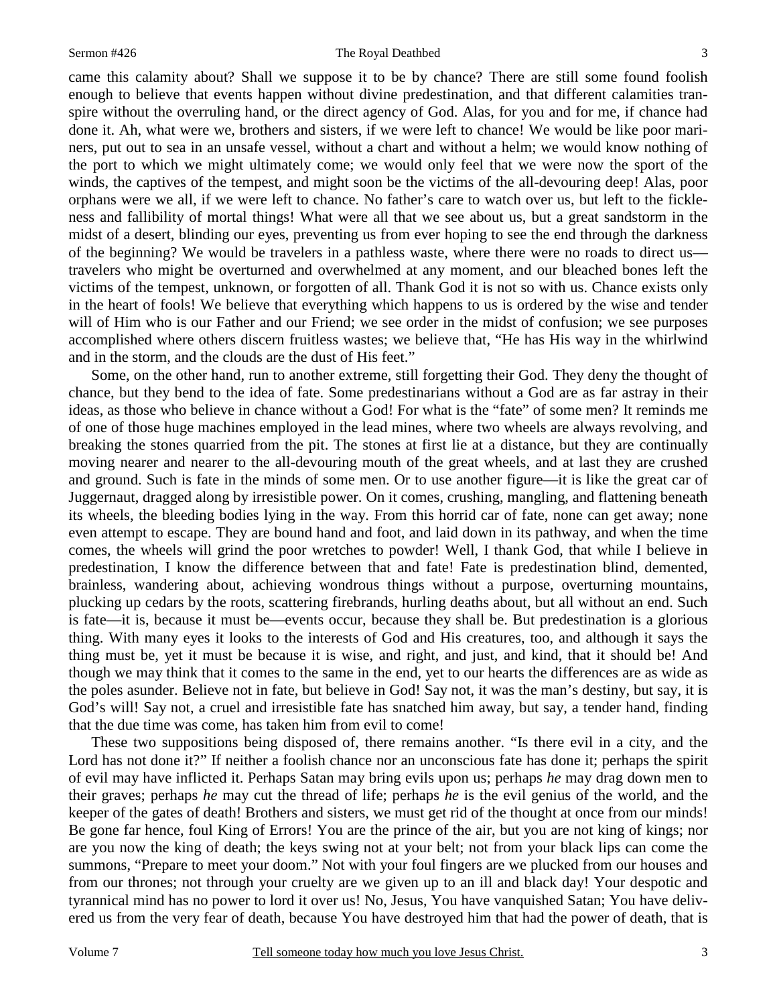3

came this calamity about? Shall we suppose it to be by chance? There are still some found foolish enough to believe that events happen without divine predestination, and that different calamities transpire without the overruling hand, or the direct agency of God. Alas, for you and for me, if chance had done it. Ah, what were we, brothers and sisters, if we were left to chance! We would be like poor mariners, put out to sea in an unsafe vessel, without a chart and without a helm; we would know nothing of the port to which we might ultimately come; we would only feel that we were now the sport of the winds, the captives of the tempest, and might soon be the victims of the all-devouring deep! Alas, poor orphans were we all, if we were left to chance. No father's care to watch over us, but left to the fickleness and fallibility of mortal things! What were all that we see about us, but a great sandstorm in the midst of a desert, blinding our eyes, preventing us from ever hoping to see the end through the darkness of the beginning? We would be travelers in a pathless waste, where there were no roads to direct us travelers who might be overturned and overwhelmed at any moment, and our bleached bones left the victims of the tempest, unknown, or forgotten of all. Thank God it is not so with us. Chance exists only in the heart of fools! We believe that everything which happens to us is ordered by the wise and tender will of Him who is our Father and our Friend; we see order in the midst of confusion; we see purposes accomplished where others discern fruitless wastes; we believe that, "He has His way in the whirlwind and in the storm, and the clouds are the dust of His feet."

Some, on the other hand, run to another extreme, still forgetting their God. They deny the thought of chance, but they bend to the idea of fate. Some predestinarians without a God are as far astray in their ideas, as those who believe in chance without a God! For what is the "fate" of some men? It reminds me of one of those huge machines employed in the lead mines, where two wheels are always revolving, and breaking the stones quarried from the pit. The stones at first lie at a distance, but they are continually moving nearer and nearer to the all-devouring mouth of the great wheels, and at last they are crushed and ground. Such is fate in the minds of some men. Or to use another figure—it is like the great car of Juggernaut, dragged along by irresistible power. On it comes, crushing, mangling, and flattening beneath its wheels, the bleeding bodies lying in the way. From this horrid car of fate, none can get away; none even attempt to escape. They are bound hand and foot, and laid down in its pathway, and when the time comes, the wheels will grind the poor wretches to powder! Well, I thank God, that while I believe in predestination, I know the difference between that and fate! Fate is predestination blind, demented, brainless, wandering about, achieving wondrous things without a purpose, overturning mountains, plucking up cedars by the roots, scattering firebrands, hurling deaths about, but all without an end. Such is fate—it is, because it must be—events occur, because they shall be. But predestination is a glorious thing. With many eyes it looks to the interests of God and His creatures, too, and although it says the thing must be, yet it must be because it is wise, and right, and just, and kind, that it should be! And though we may think that it comes to the same in the end, yet to our hearts the differences are as wide as the poles asunder. Believe not in fate, but believe in God! Say not, it was the man's destiny, but say, it is God's will! Say not, a cruel and irresistible fate has snatched him away, but say, a tender hand, finding that the due time was come, has taken him from evil to come!

These two suppositions being disposed of, there remains another. "Is there evil in a city, and the Lord has not done it?" If neither a foolish chance nor an unconscious fate has done it; perhaps the spirit of evil may have inflicted it. Perhaps Satan may bring evils upon us; perhaps *he* may drag down men to their graves; perhaps *he* may cut the thread of life; perhaps *he* is the evil genius of the world, and the keeper of the gates of death! Brothers and sisters, we must get rid of the thought at once from our minds! Be gone far hence, foul King of Errors! You are the prince of the air, but you are not king of kings; nor are you now the king of death; the keys swing not at your belt; not from your black lips can come the summons, "Prepare to meet your doom." Not with your foul fingers are we plucked from our houses and from our thrones; not through your cruelty are we given up to an ill and black day! Your despotic and tyrannical mind has no power to lord it over us! No, Jesus, You have vanquished Satan; You have delivered us from the very fear of death, because You have destroyed him that had the power of death, that is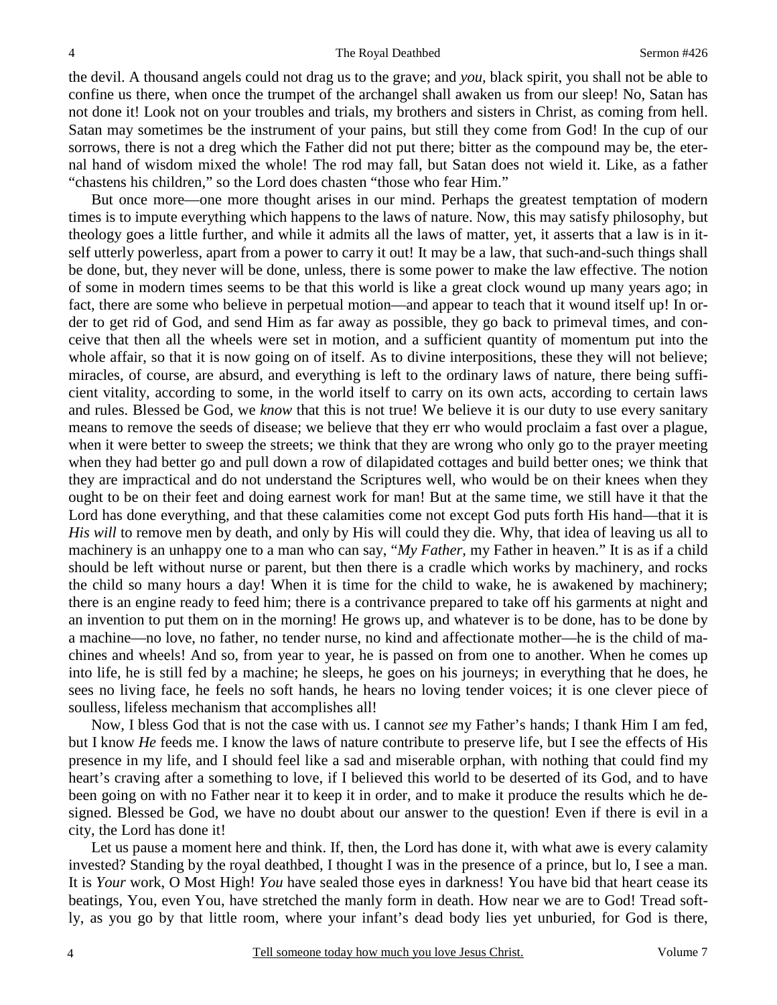the devil. A thousand angels could not drag us to the grave; and *you,* black spirit, you shall not be able to confine us there, when once the trumpet of the archangel shall awaken us from our sleep! No, Satan has not done it! Look not on your troubles and trials, my brothers and sisters in Christ, as coming from hell. Satan may sometimes be the instrument of your pains, but still they come from God! In the cup of our sorrows, there is not a dreg which the Father did not put there; bitter as the compound may be, the eternal hand of wisdom mixed the whole! The rod may fall, but Satan does not wield it. Like, as a father "chastens his children," so the Lord does chasten "those who fear Him."

But once more—one more thought arises in our mind. Perhaps the greatest temptation of modern times is to impute everything which happens to the laws of nature. Now, this may satisfy philosophy, but theology goes a little further, and while it admits all the laws of matter, yet, it asserts that a law is in itself utterly powerless, apart from a power to carry it out! It may be a law, that such-and-such things shall be done, but, they never will be done, unless, there is some power to make the law effective. The notion of some in modern times seems to be that this world is like a great clock wound up many years ago; in fact, there are some who believe in perpetual motion—and appear to teach that it wound itself up! In order to get rid of God, and send Him as far away as possible, they go back to primeval times, and conceive that then all the wheels were set in motion, and a sufficient quantity of momentum put into the whole affair, so that it is now going on of itself. As to divine interpositions, these they will not believe; miracles, of course, are absurd, and everything is left to the ordinary laws of nature, there being sufficient vitality, according to some, in the world itself to carry on its own acts, according to certain laws and rules. Blessed be God, we *know* that this is not true! We believe it is our duty to use every sanitary means to remove the seeds of disease; we believe that they err who would proclaim a fast over a plague, when it were better to sweep the streets; we think that they are wrong who only go to the prayer meeting when they had better go and pull down a row of dilapidated cottages and build better ones; we think that they are impractical and do not understand the Scriptures well, who would be on their knees when they ought to be on their feet and doing earnest work for man! But at the same time, we still have it that the Lord has done everything, and that these calamities come not except God puts forth His hand—that it is *His will* to remove men by death, and only by His will could they die. Why, that idea of leaving us all to machinery is an unhappy one to a man who can say, "*My Father,* my Father in heaven." It is as if a child should be left without nurse or parent, but then there is a cradle which works by machinery, and rocks the child so many hours a day! When it is time for the child to wake, he is awakened by machinery; there is an engine ready to feed him; there is a contrivance prepared to take off his garments at night and an invention to put them on in the morning! He grows up, and whatever is to be done, has to be done by a machine—no love, no father, no tender nurse, no kind and affectionate mother—he is the child of machines and wheels! And so, from year to year, he is passed on from one to another. When he comes up into life, he is still fed by a machine; he sleeps, he goes on his journeys; in everything that he does, he sees no living face, he feels no soft hands, he hears no loving tender voices; it is one clever piece of soulless, lifeless mechanism that accomplishes all!

Now, I bless God that is not the case with us. I cannot *see* my Father's hands; I thank Him I am fed, but I know *He* feeds me. I know the laws of nature contribute to preserve life, but I see the effects of His presence in my life, and I should feel like a sad and miserable orphan, with nothing that could find my heart's craving after a something to love, if I believed this world to be deserted of its God, and to have been going on with no Father near it to keep it in order, and to make it produce the results which he designed. Blessed be God, we have no doubt about our answer to the question! Even if there is evil in a city, the Lord has done it!

Let us pause a moment here and think. If, then, the Lord has done it, with what awe is every calamity invested? Standing by the royal deathbed, I thought I was in the presence of a prince, but lo, I see a man. It is *Your* work, O Most High! *You* have sealed those eyes in darkness! You have bid that heart cease its beatings, You, even You, have stretched the manly form in death. How near we are to God! Tread softly, as you go by that little room, where your infant's dead body lies yet unburied, for God is there,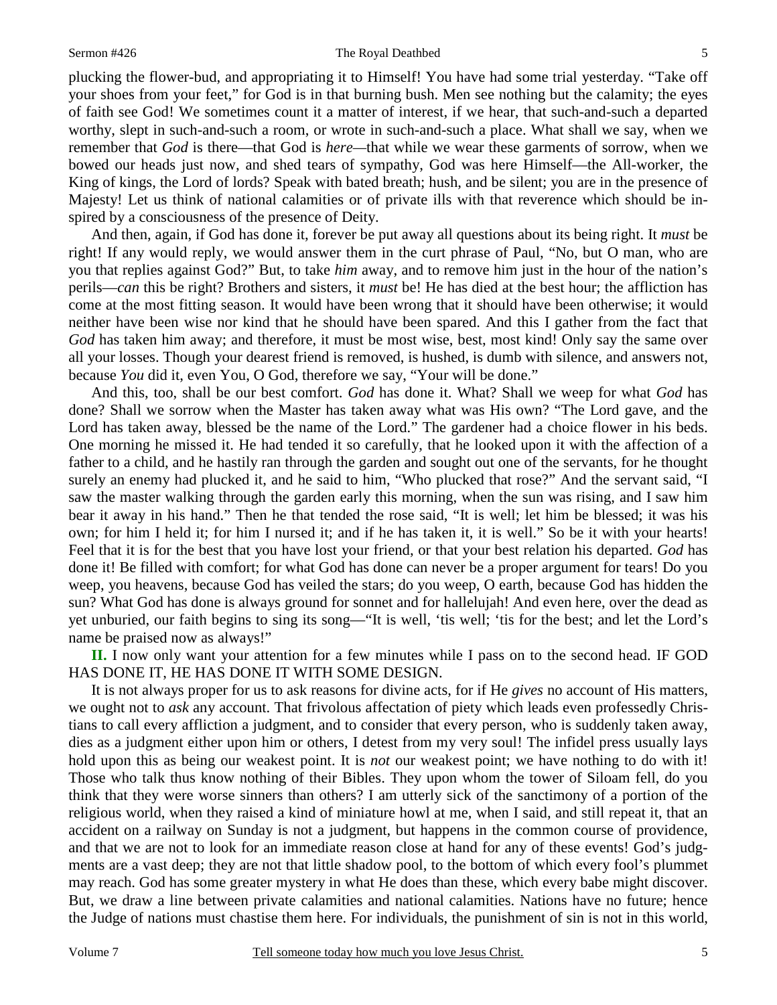### Sermon #426 The Royal Deathbed

plucking the flower-bud, and appropriating it to Himself! You have had some trial yesterday. "Take off your shoes from your feet," for God is in that burning bush. Men see nothing but the calamity; the eyes of faith see God! We sometimes count it a matter of interest, if we hear, that such-and-such a departed worthy, slept in such-and-such a room, or wrote in such-and-such a place. What shall we say, when we remember that *God* is there—that God is *here—*that while we wear these garments of sorrow, when we bowed our heads just now, and shed tears of sympathy, God was here Himself—the All-worker, the King of kings, the Lord of lords? Speak with bated breath; hush, and be silent; you are in the presence of Majesty! Let us think of national calamities or of private ills with that reverence which should be inspired by a consciousness of the presence of Deity.

And then, again, if God has done it, forever be put away all questions about its being right. It *must* be right! If any would reply, we would answer them in the curt phrase of Paul, "No, but O man, who are you that replies against God?" But, to take *him* away, and to remove him just in the hour of the nation's perils—*can* this be right? Brothers and sisters, it *must* be! He has died at the best hour; the affliction has come at the most fitting season. It would have been wrong that it should have been otherwise; it would neither have been wise nor kind that he should have been spared. And this I gather from the fact that *God* has taken him away; and therefore, it must be most wise, best, most kind! Only say the same over all your losses. Though your dearest friend is removed, is hushed, is dumb with silence, and answers not, because *You* did it, even You, O God, therefore we say, "Your will be done."

And this, too, shall be our best comfort. *God* has done it. What? Shall we weep for what *God* has done? Shall we sorrow when the Master has taken away what was His own? "The Lord gave, and the Lord has taken away, blessed be the name of the Lord." The gardener had a choice flower in his beds. One morning he missed it. He had tended it so carefully, that he looked upon it with the affection of a father to a child, and he hastily ran through the garden and sought out one of the servants, for he thought surely an enemy had plucked it, and he said to him, "Who plucked that rose?" And the servant said, "I saw the master walking through the garden early this morning, when the sun was rising, and I saw him bear it away in his hand." Then he that tended the rose said, "It is well; let him be blessed; it was his own; for him I held it; for him I nursed it; and if he has taken it, it is well." So be it with your hearts! Feel that it is for the best that you have lost your friend, or that your best relation his departed. *God* has done it! Be filled with comfort; for what God has done can never be a proper argument for tears! Do you weep, you heavens, because God has veiled the stars; do you weep, O earth, because God has hidden the sun? What God has done is always ground for sonnet and for hallelujah! And even here, over the dead as yet unburied, our faith begins to sing its song—"It is well, 'tis well; 'tis for the best; and let the Lord's name be praised now as always!"

**II.** I now only want your attention for a few minutes while I pass on to the second head. IF GOD HAS DONE IT, HE HAS DONE IT WITH SOME DESIGN.

It is not always proper for us to ask reasons for divine acts, for if He *gives* no account of His matters, we ought not to *ask* any account. That frivolous affectation of piety which leads even professedly Christians to call every affliction a judgment, and to consider that every person, who is suddenly taken away, dies as a judgment either upon him or others, I detest from my very soul! The infidel press usually lays hold upon this as being our weakest point. It is *not* our weakest point; we have nothing to do with it! Those who talk thus know nothing of their Bibles. They upon whom the tower of Siloam fell, do you think that they were worse sinners than others? I am utterly sick of the sanctimony of a portion of the religious world, when they raised a kind of miniature howl at me, when I said, and still repeat it, that an accident on a railway on Sunday is not a judgment, but happens in the common course of providence, and that we are not to look for an immediate reason close at hand for any of these events! God's judgments are a vast deep; they are not that little shadow pool, to the bottom of which every fool's plummet may reach. God has some greater mystery in what He does than these, which every babe might discover. But, we draw a line between private calamities and national calamities. Nations have no future; hence the Judge of nations must chastise them here. For individuals, the punishment of sin is not in this world,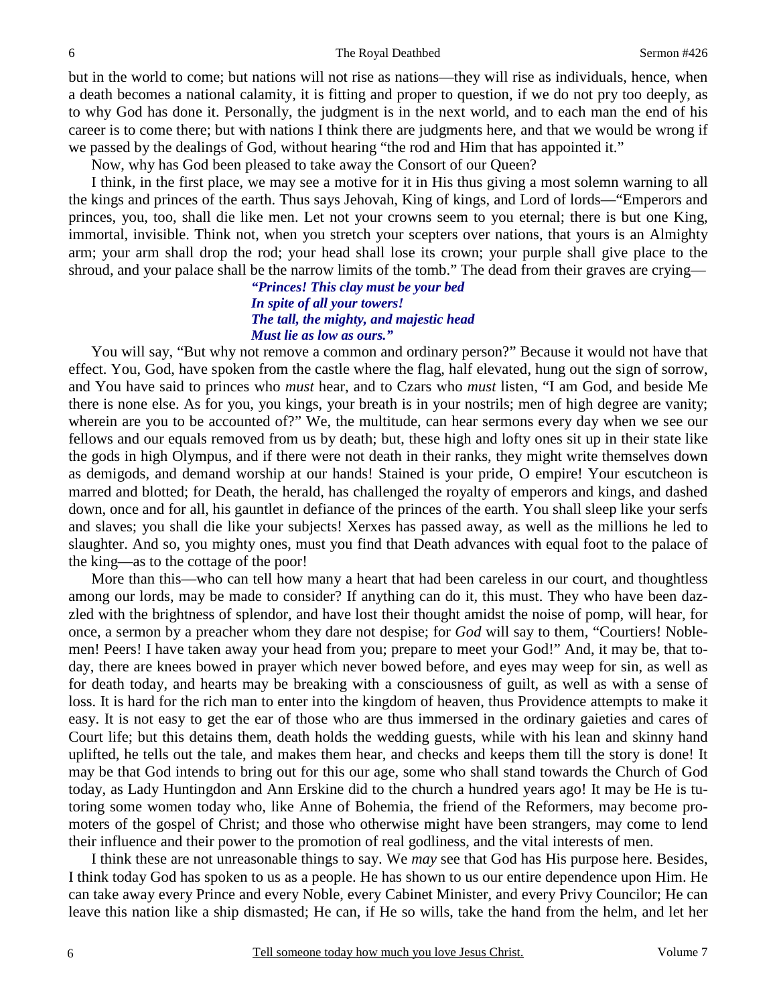but in the world to come; but nations will not rise as nations—they will rise as individuals, hence, when a death becomes a national calamity, it is fitting and proper to question, if we do not pry too deeply, as to why God has done it. Personally, the judgment is in the next world, and to each man the end of his career is to come there; but with nations I think there are judgments here, and that we would be wrong if we passed by the dealings of God, without hearing "the rod and Him that has appointed it."

Now, why has God been pleased to take away the Consort of our Queen?

I think, in the first place, we may see a motive for it in His thus giving a most solemn warning to all the kings and princes of the earth. Thus says Jehovah, King of kings, and Lord of lords—"Emperors and princes, you, too, shall die like men. Let not your crowns seem to you eternal; there is but one King, immortal, invisible. Think not, when you stretch your scepters over nations, that yours is an Almighty arm; your arm shall drop the rod; your head shall lose its crown; your purple shall give place to the shroud, and your palace shall be the narrow limits of the tomb." The dead from their graves are crying—

## *"Princes! This clay must be your bed In spite of all your towers! The tall, the mighty, and majestic head Must lie as low as ours."*

You will say, "But why not remove a common and ordinary person?" Because it would not have that effect. You, God, have spoken from the castle where the flag, half elevated, hung out the sign of sorrow, and You have said to princes who *must* hear, and to Czars who *must* listen, "I am God, and beside Me there is none else. As for you, you kings, your breath is in your nostrils; men of high degree are vanity; wherein are you to be accounted of?" We, the multitude, can hear sermons every day when we see our fellows and our equals removed from us by death; but, these high and lofty ones sit up in their state like the gods in high Olympus, and if there were not death in their ranks, they might write themselves down as demigods, and demand worship at our hands! Stained is your pride, O empire! Your escutcheon is marred and blotted; for Death, the herald, has challenged the royalty of emperors and kings, and dashed down, once and for all, his gauntlet in defiance of the princes of the earth. You shall sleep like your serfs and slaves; you shall die like your subjects! Xerxes has passed away, as well as the millions he led to slaughter. And so, you mighty ones, must you find that Death advances with equal foot to the palace of the king—as to the cottage of the poor!

More than this—who can tell how many a heart that had been careless in our court, and thoughtless among our lords, may be made to consider? If anything can do it, this must. They who have been dazzled with the brightness of splendor, and have lost their thought amidst the noise of pomp, will hear, for once, a sermon by a preacher whom they dare not despise; for *God* will say to them, "Courtiers! Noblemen! Peers! I have taken away your head from you; prepare to meet your God!" And, it may be, that today, there are knees bowed in prayer which never bowed before, and eyes may weep for sin, as well as for death today, and hearts may be breaking with a consciousness of guilt, as well as with a sense of loss. It is hard for the rich man to enter into the kingdom of heaven, thus Providence attempts to make it easy. It is not easy to get the ear of those who are thus immersed in the ordinary gaieties and cares of Court life; but this detains them, death holds the wedding guests, while with his lean and skinny hand uplifted, he tells out the tale, and makes them hear, and checks and keeps them till the story is done! It may be that God intends to bring out for this our age, some who shall stand towards the Church of God today, as Lady Huntingdon and Ann Erskine did to the church a hundred years ago! It may be He is tutoring some women today who, like Anne of Bohemia, the friend of the Reformers, may become promoters of the gospel of Christ; and those who otherwise might have been strangers, may come to lend their influence and their power to the promotion of real godliness, and the vital interests of men.

I think these are not unreasonable things to say. We *may* see that God has His purpose here. Besides, I think today God has spoken to us as a people. He has shown to us our entire dependence upon Him. He can take away every Prince and every Noble, every Cabinet Minister, and every Privy Councilor; He can leave this nation like a ship dismasted; He can, if He so wills, take the hand from the helm, and let her

6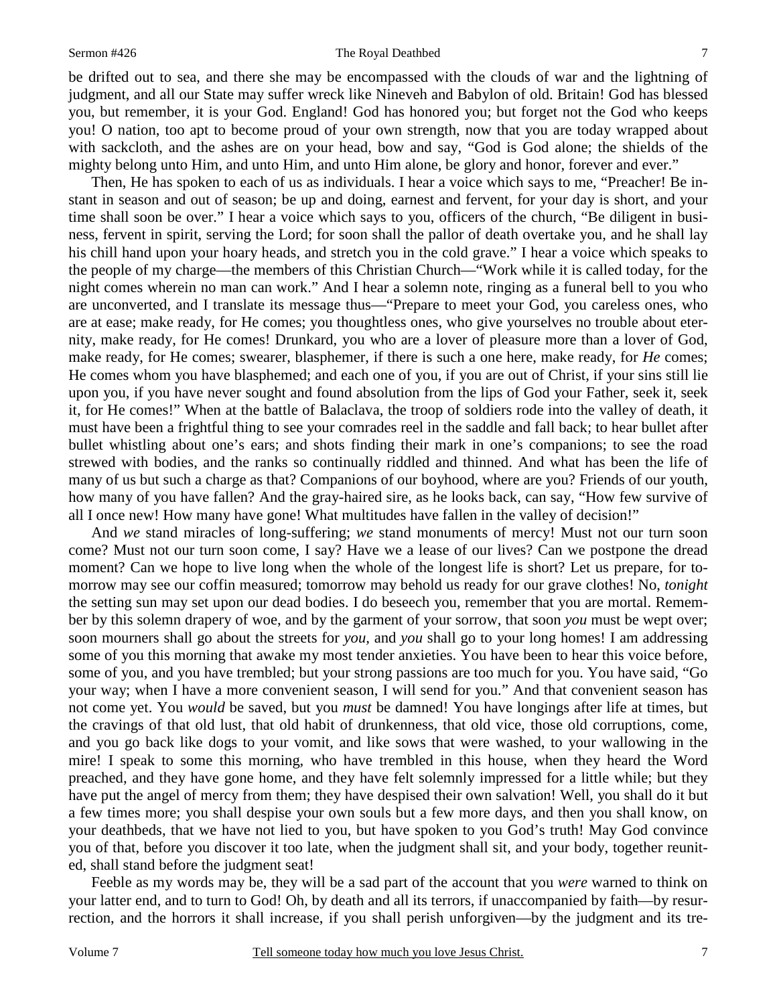### Sermon #426 The Royal Deathbed

be drifted out to sea, and there she may be encompassed with the clouds of war and the lightning of judgment, and all our State may suffer wreck like Nineveh and Babylon of old. Britain! God has blessed you, but remember, it is your God. England! God has honored you; but forget not the God who keeps you! O nation, too apt to become proud of your own strength, now that you are today wrapped about with sackcloth, and the ashes are on your head, bow and say, "God is God alone; the shields of the mighty belong unto Him, and unto Him, and unto Him alone, be glory and honor, forever and ever."

Then, He has spoken to each of us as individuals. I hear a voice which says to me, "Preacher! Be instant in season and out of season; be up and doing, earnest and fervent, for your day is short, and your time shall soon be over." I hear a voice which says to you, officers of the church, "Be diligent in business, fervent in spirit, serving the Lord; for soon shall the pallor of death overtake you, and he shall lay his chill hand upon your hoary heads, and stretch you in the cold grave." I hear a voice which speaks to the people of my charge—the members of this Christian Church—"Work while it is called today, for the night comes wherein no man can work." And I hear a solemn note, ringing as a funeral bell to you who are unconverted, and I translate its message thus—"Prepare to meet your God, you careless ones, who are at ease; make ready, for He comes; you thoughtless ones, who give yourselves no trouble about eternity, make ready, for He comes! Drunkard, you who are a lover of pleasure more than a lover of God, make ready, for He comes; swearer, blasphemer, if there is such a one here, make ready, for *He* comes; He comes whom you have blasphemed; and each one of you, if you are out of Christ, if your sins still lie upon you, if you have never sought and found absolution from the lips of God your Father, seek it, seek it, for He comes!" When at the battle of Balaclava, the troop of soldiers rode into the valley of death, it must have been a frightful thing to see your comrades reel in the saddle and fall back; to hear bullet after bullet whistling about one's ears; and shots finding their mark in one's companions; to see the road strewed with bodies, and the ranks so continually riddled and thinned. And what has been the life of many of us but such a charge as that? Companions of our boyhood, where are you? Friends of our youth, how many of you have fallen? And the gray-haired sire, as he looks back, can say, "How few survive of all I once new! How many have gone! What multitudes have fallen in the valley of decision!"

And *we* stand miracles of long-suffering; *we* stand monuments of mercy! Must not our turn soon come? Must not our turn soon come, I say? Have we a lease of our lives? Can we postpone the dread moment? Can we hope to live long when the whole of the longest life is short? Let us prepare, for tomorrow may see our coffin measured; tomorrow may behold us ready for our grave clothes! No, *tonight* the setting sun may set upon our dead bodies. I do beseech you, remember that you are mortal. Remember by this solemn drapery of woe, and by the garment of your sorrow, that soon *you* must be wept over; soon mourners shall go about the streets for *you,* and *you* shall go to your long homes! I am addressing some of you this morning that awake my most tender anxieties. You have been to hear this voice before, some of you, and you have trembled; but your strong passions are too much for you. You have said, "Go your way; when I have a more convenient season, I will send for you." And that convenient season has not come yet. You *would* be saved, but you *must* be damned! You have longings after life at times, but the cravings of that old lust, that old habit of drunkenness, that old vice, those old corruptions, come, and you go back like dogs to your vomit, and like sows that were washed, to your wallowing in the mire! I speak to some this morning, who have trembled in this house, when they heard the Word preached, and they have gone home, and they have felt solemnly impressed for a little while; but they have put the angel of mercy from them; they have despised their own salvation! Well, you shall do it but a few times more; you shall despise your own souls but a few more days, and then you shall know, on your deathbeds, that we have not lied to you, but have spoken to you God's truth! May God convince you of that, before you discover it too late, when the judgment shall sit, and your body, together reunited, shall stand before the judgment seat!

Feeble as my words may be, they will be a sad part of the account that you *were* warned to think on your latter end, and to turn to God! Oh, by death and all its terrors, if unaccompanied by faith—by resurrection, and the horrors it shall increase, if you shall perish unforgiven—by the judgment and its tre